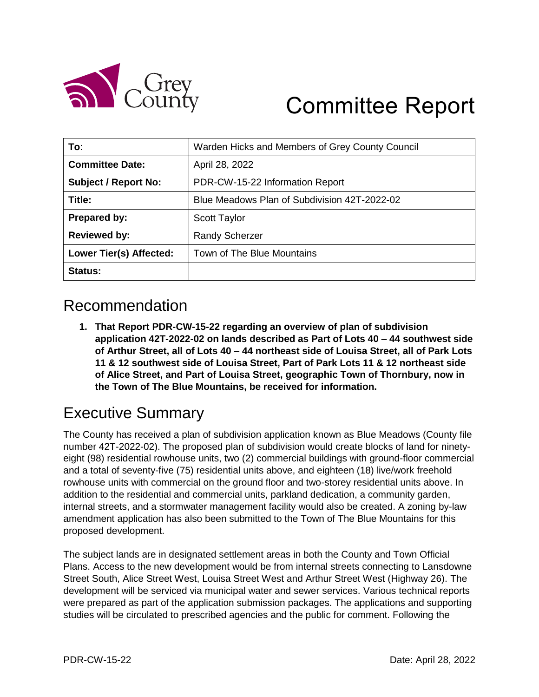

# Committee Report

| To:                         | Warden Hicks and Members of Grey County Council |
|-----------------------------|-------------------------------------------------|
| <b>Committee Date:</b>      | April 28, 2022                                  |
| <b>Subject / Report No:</b> | PDR-CW-15-22 Information Report                 |
| Title:                      | Blue Meadows Plan of Subdivision 42T-2022-02    |
| Prepared by:                | <b>Scott Taylor</b>                             |
| <b>Reviewed by:</b>         | <b>Randy Scherzer</b>                           |
| Lower Tier(s) Affected:     | Town of The Blue Mountains                      |
| Status:                     |                                                 |

## Recommendation

**1. That Report PDR-CW-15-22 regarding an overview of plan of subdivision application 42T-2022-02 on lands described as Part of Lots 40 – 44 southwest side of Arthur Street, all of Lots 40 – 44 northeast side of Louisa Street, all of Park Lots 11 & 12 southwest side of Louisa Street, Part of Park Lots 11 & 12 northeast side of Alice Street, and Part of Louisa Street, geographic Town of Thornbury, now in the Town of The Blue Mountains, be received for information.**

# Executive Summary

The County has received a plan of subdivision application known as Blue Meadows (County file number 42T-2022-02). The proposed plan of subdivision would create blocks of land for ninetyeight (98) residential rowhouse units, two (2) commercial buildings with ground-floor commercial and a total of seventy-five (75) residential units above, and eighteen (18) live/work freehold rowhouse units with commercial on the ground floor and two-storey residential units above. In addition to the residential and commercial units, parkland dedication, a community garden, internal streets, and a stormwater management facility would also be created. A zoning by-law amendment application has also been submitted to the Town of The Blue Mountains for this proposed development.

The subject lands are in designated settlement areas in both the County and Town Official Plans. Access to the new development would be from internal streets connecting to Lansdowne Street South, Alice Street West, Louisa Street West and Arthur Street West (Highway 26). The development will be serviced via municipal water and sewer services. Various technical reports were prepared as part of the application submission packages. The applications and supporting studies will be circulated to prescribed agencies and the public for comment. Following the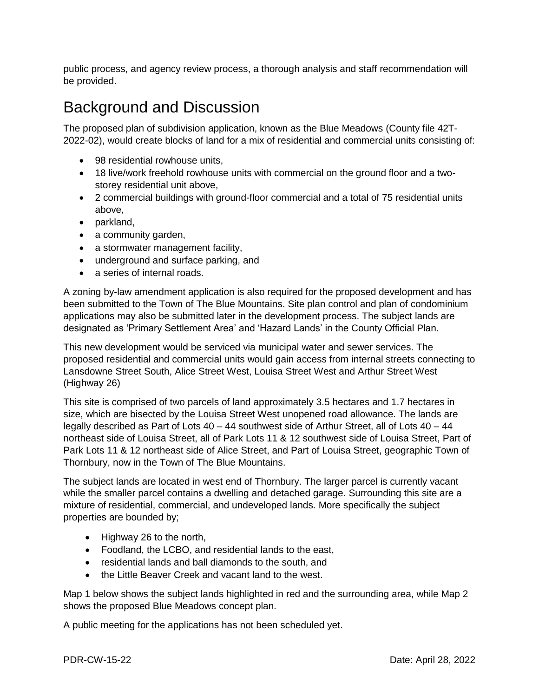public process, and agency review process, a thorough analysis and staff recommendation will be provided.

### Background and Discussion

The proposed plan of subdivision application, known as the Blue Meadows (County file 42T-2022-02), would create blocks of land for a mix of residential and commercial units consisting of:

- 98 residential rowhouse units,
- 18 live/work freehold rowhouse units with commercial on the ground floor and a twostorey residential unit above,
- 2 commercial buildings with ground-floor commercial and a total of 75 residential units above,
- parkland,
- a community garden,
- a stormwater management facility,
- underground and surface parking, and
- a series of internal roads.

A zoning by-law amendment application is also required for the proposed development and has been submitted to the Town of The Blue Mountains. Site plan control and plan of condominium applications may also be submitted later in the development process. The subject lands are designated as 'Primary Settlement Area' and 'Hazard Lands' in the County Official Plan.

This new development would be serviced via municipal water and sewer services. The proposed residential and commercial units would gain access from internal streets connecting to Lansdowne Street South, Alice Street West, Louisa Street West and Arthur Street West (Highway 26)

This site is comprised of two parcels of land approximately 3.5 hectares and 1.7 hectares in size, which are bisected by the Louisa Street West unopened road allowance. The lands are legally described as Part of Lots 40 – 44 southwest side of Arthur Street, all of Lots 40 – 44 northeast side of Louisa Street, all of Park Lots 11 & 12 southwest side of Louisa Street, Part of Park Lots 11 & 12 northeast side of Alice Street, and Part of Louisa Street, geographic Town of Thornbury, now in the Town of The Blue Mountains.

The subject lands are located in west end of Thornbury. The larger parcel is currently vacant while the smaller parcel contains a dwelling and detached garage. Surrounding this site are a mixture of residential, commercial, and undeveloped lands. More specifically the subject properties are bounded by;

- Highway 26 to the north,
- Foodland, the LCBO, and residential lands to the east,
- residential lands and ball diamonds to the south, and
- the Little Beaver Creek and vacant land to the west.

Map 1 below shows the subject lands highlighted in red and the surrounding area, while Map 2 shows the proposed Blue Meadows concept plan.

A public meeting for the applications has not been scheduled yet.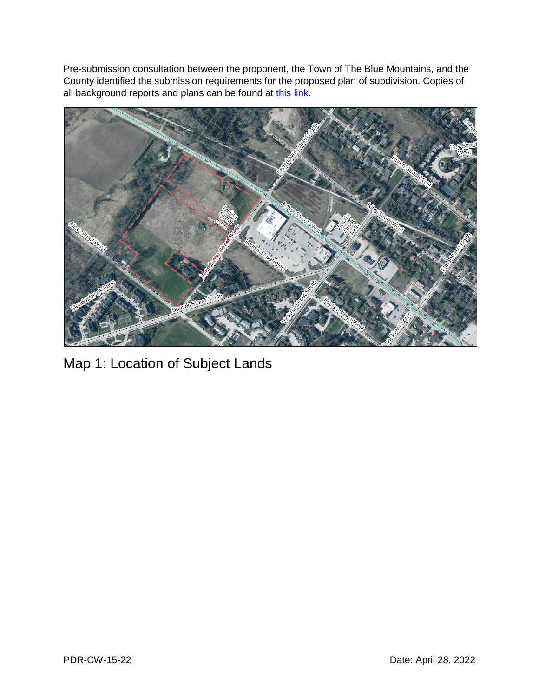Pre-submission consultation between the proponent, the Town of The Blue Mountains, and the County identified the submission requirements for the proposed plan of subdivision. Copies of all background reports and plans can be found at [this link.](https://www.grey.ca/planning-development/planning-applications)



Map 1: Location of Subject Lands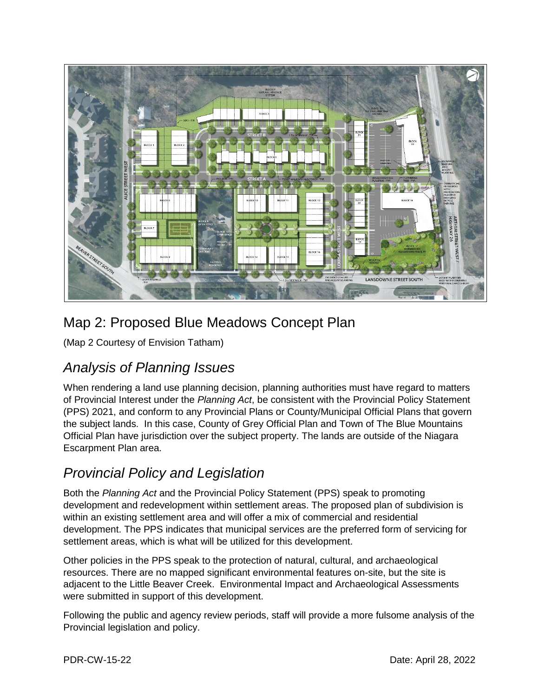

#### Map 2: Proposed Blue Meadows Concept Plan

(Map 2 Courtesy of Envision Tatham)

#### *Analysis of Planning Issues*

When rendering a land use planning decision, planning authorities must have regard to matters of Provincial Interest under the *Planning Act*, be consistent with the Provincial Policy Statement (PPS) 2021, and conform to any Provincial Plans or County/Municipal Official Plans that govern the subject lands. In this case, County of Grey Official Plan and Town of The Blue Mountains Official Plan have jurisdiction over the subject property. The lands are outside of the Niagara Escarpment Plan area.

#### *Provincial Policy and Legislation*

Both the *Planning Act* and the Provincial Policy Statement (PPS) speak to promoting development and redevelopment within settlement areas. The proposed plan of subdivision is within an existing settlement area and will offer a mix of commercial and residential development. The PPS indicates that municipal services are the preferred form of servicing for settlement areas, which is what will be utilized for this development.

Other policies in the PPS speak to the protection of natural, cultural, and archaeological resources. There are no mapped significant environmental features on-site, but the site is adjacent to the Little Beaver Creek. Environmental Impact and Archaeological Assessments were submitted in support of this development.

Following the public and agency review periods, staff will provide a more fulsome analysis of the Provincial legislation and policy.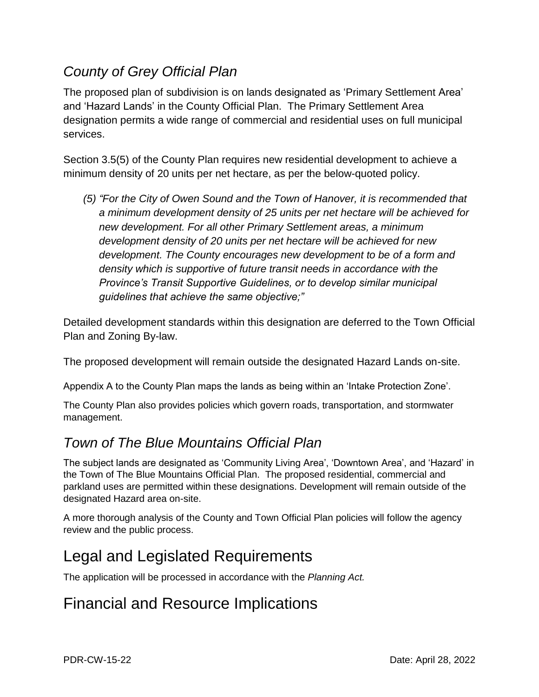#### *County of Grey Official Plan*

The proposed plan of subdivision is on lands designated as 'Primary Settlement Area' and 'Hazard Lands' in the County Official Plan. The Primary Settlement Area designation permits a wide range of commercial and residential uses on full municipal services.

Section 3.5(5) of the County Plan requires new residential development to achieve a minimum density of 20 units per net hectare, as per the below-quoted policy.

*(5) "For the City of Owen Sound and the Town of Hanover, it is recommended that a minimum development density of 25 units per net hectare will be achieved for new development. For all other Primary Settlement areas, a minimum development density of 20 units per net hectare will be achieved for new development. The County encourages new development to be of a form and density which is supportive of future transit needs in accordance with the Province's Transit Supportive Guidelines, or to develop similar municipal guidelines that achieve the same objective;"*

Detailed development standards within this designation are deferred to the Town Official Plan and Zoning By-law.

The proposed development will remain outside the designated Hazard Lands on-site.

Appendix A to the County Plan maps the lands as being within an 'Intake Protection Zone'.

The County Plan also provides policies which govern roads, transportation, and stormwater management.

#### *Town of The Blue Mountains Official Plan*

The subject lands are designated as 'Community Living Area', 'Downtown Area', and 'Hazard' in the Town of The Blue Mountains Official Plan. The proposed residential, commercial and parkland uses are permitted within these designations. Development will remain outside of the designated Hazard area on-site.

A more thorough analysis of the County and Town Official Plan policies will follow the agency review and the public process.

# Legal and Legislated Requirements

The application will be processed in accordance with the *Planning Act.*

## Financial and Resource Implications